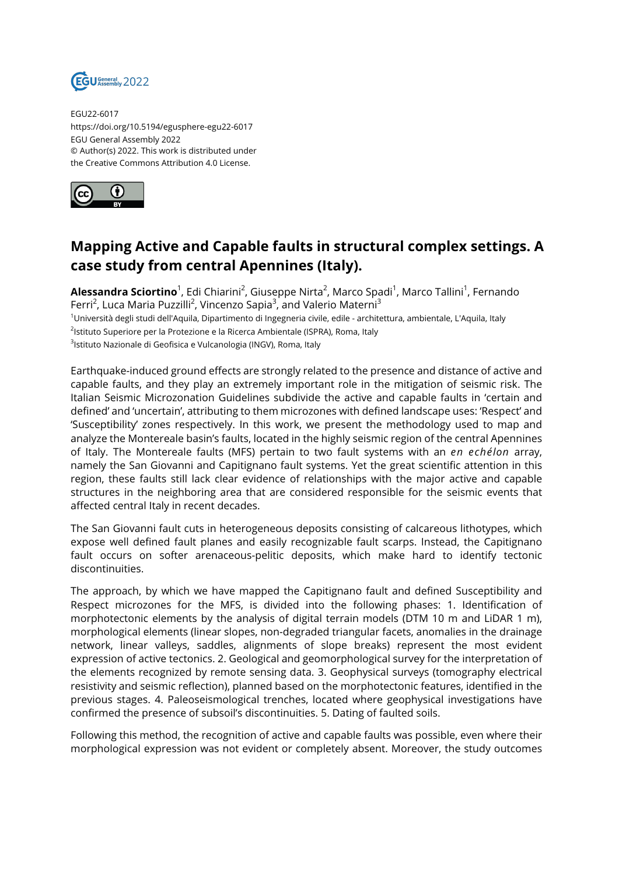

EGU22-6017 https://doi.org/10.5194/egusphere-egu22-6017 EGU General Assembly 2022 © Author(s) 2022. This work is distributed under the Creative Commons Attribution 4.0 License.



## **Mapping Active and Capable faults in structural complex settings. A case study from central Apennines (Italy).**

**Alessandra Sciortino**<sup>1</sup>, Edi Chiarini<sup>2</sup>, Giuseppe Nirta<sup>2</sup>, Marco Spadi<sup>1</sup>, Marco Tallini<sup>1</sup>, Fernando Ferri<sup>2</sup>, Luca Maria Puzzilli<sup>2</sup>, Vincenzo Sapia<sup>3</sup>, and Valerio Materni<sup>3</sup> <sup>1</sup>Università degli studi dell'Aquila, Dipartimento di Ingegneria civile, edile - architettura, ambientale, L'Aquila, Italy <sup>2</sup>lstituto Superiore per la Protezione e la Ricerca Ambientale (ISPRA), Roma, Italy <sup>3</sup>lstituto Nazionale di Geofisica e Vulcanologia (INGV), Roma, Italy

Earthquake-induced ground effects are strongly related to the presence and distance of active and capable faults, and they play an extremely important role in the mitigation of seismic risk. The Italian Seismic Microzonation Guidelines subdivide the active and capable faults in 'certain and defined' and 'uncertain', attributing to them microzones with defined landscape uses: 'Respect' and 'Susceptibility' zones respectively. In this work, we present the methodology used to map and analyze the Montereale basin's faults, located in the highly seismic region of the central Apennines of Italy. The Montereale faults (MFS) pertain to two fault systems with an *en echélon* array, namely the San Giovanni and Capitignano fault systems. Yet the great scientific attention in this region, these faults still lack clear evidence of relationships with the major active and capable structures in the neighboring area that are considered responsible for the seismic events that affected central Italy in recent decades.

The San Giovanni fault cuts in heterogeneous deposits consisting of calcareous lithotypes, which expose well defined fault planes and easily recognizable fault scarps. Instead, the Capitignano fault occurs on softer arenaceous-pelitic deposits, which make hard to identify tectonic discontinuities.

The approach, by which we have mapped the Capitignano fault and defined Susceptibility and Respect microzones for the MFS, is divided into the following phases: 1. Identification of morphotectonic elements by the analysis of digital terrain models (DTM 10 m and LiDAR 1 m), morphological elements (linear slopes, non-degraded triangular facets, anomalies in the drainage network, linear valleys, saddles, alignments of slope breaks) represent the most evident expression of active tectonics. 2. Geological and geomorphological survey for the interpretation of the elements recognized by remote sensing data. 3. Geophysical surveys (tomography electrical resistivity and seismic reflection), planned based on the morphotectonic features, identified in the previous stages. 4. Paleoseismological trenches, located where geophysical investigations have confirmed the presence of subsoil's discontinuities. 5. Dating of faulted soils.

Following this method, the recognition of active and capable faults was possible, even where their morphological expression was not evident or completely absent. Moreover, the study outcomes